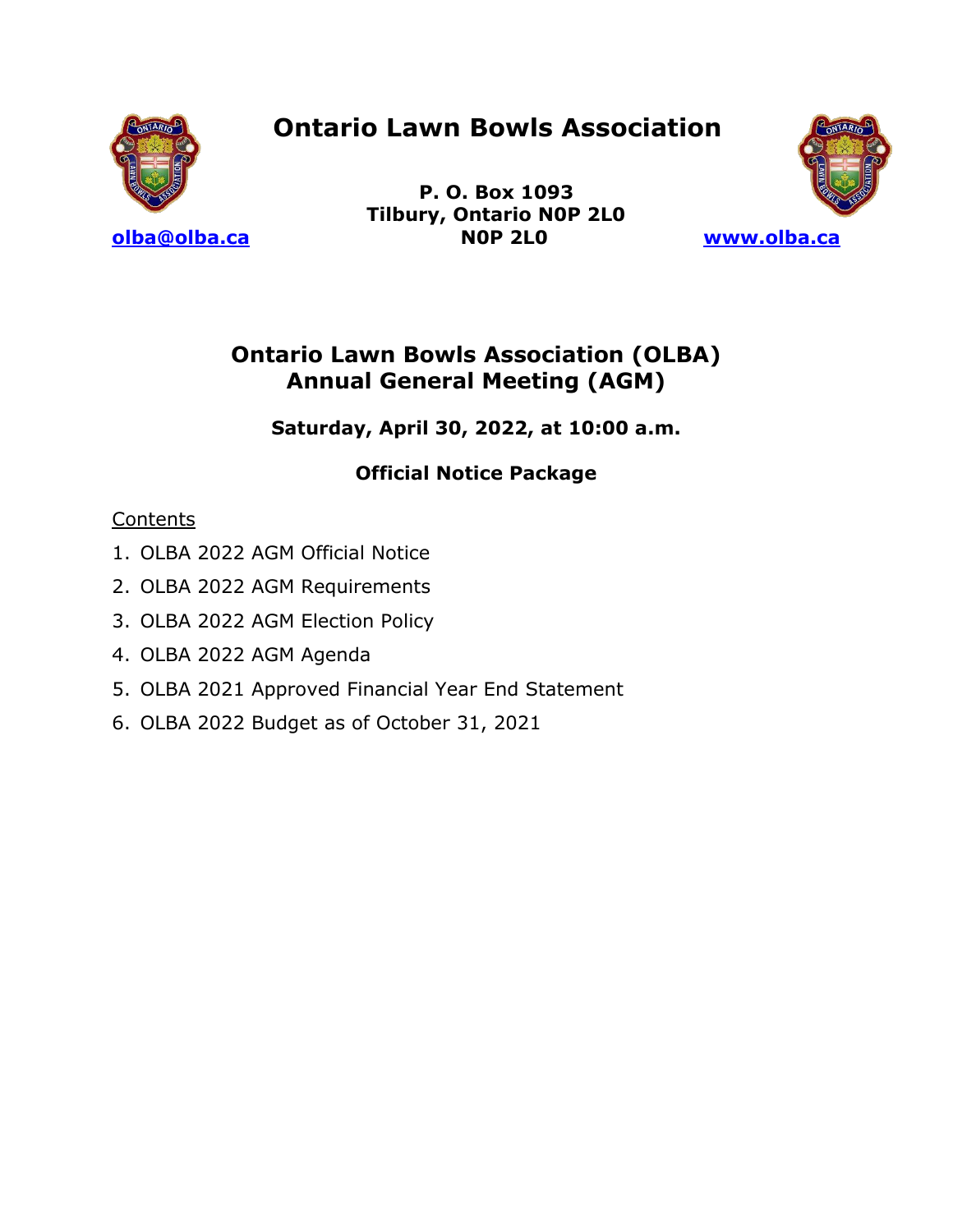

**P. O. Box 1093 Tilbury, Ontario N0P 2L0 [olba@olba.ca](about:blank) N0P 2L0 [www.olba.ca](about:blank)** 



### **Ontario Lawn Bowls Association (OLBA) Annual General Meeting (AGM)**

**Saturday, April 30, 2022, at 10:00 a.m.**

### **Official Notice Package**

### **Contents**

- 1. OLBA 2022 AGM Official Notice
- 2. OLBA 2022 AGM Requirements
- 3. OLBA 2022 AGM Election Policy
- 4. OLBA 2022 AGM Agenda
- 5. OLBA 2021 Approved Financial Year End Statement
- 6. OLBA 2022 Budget as of October 31, 2021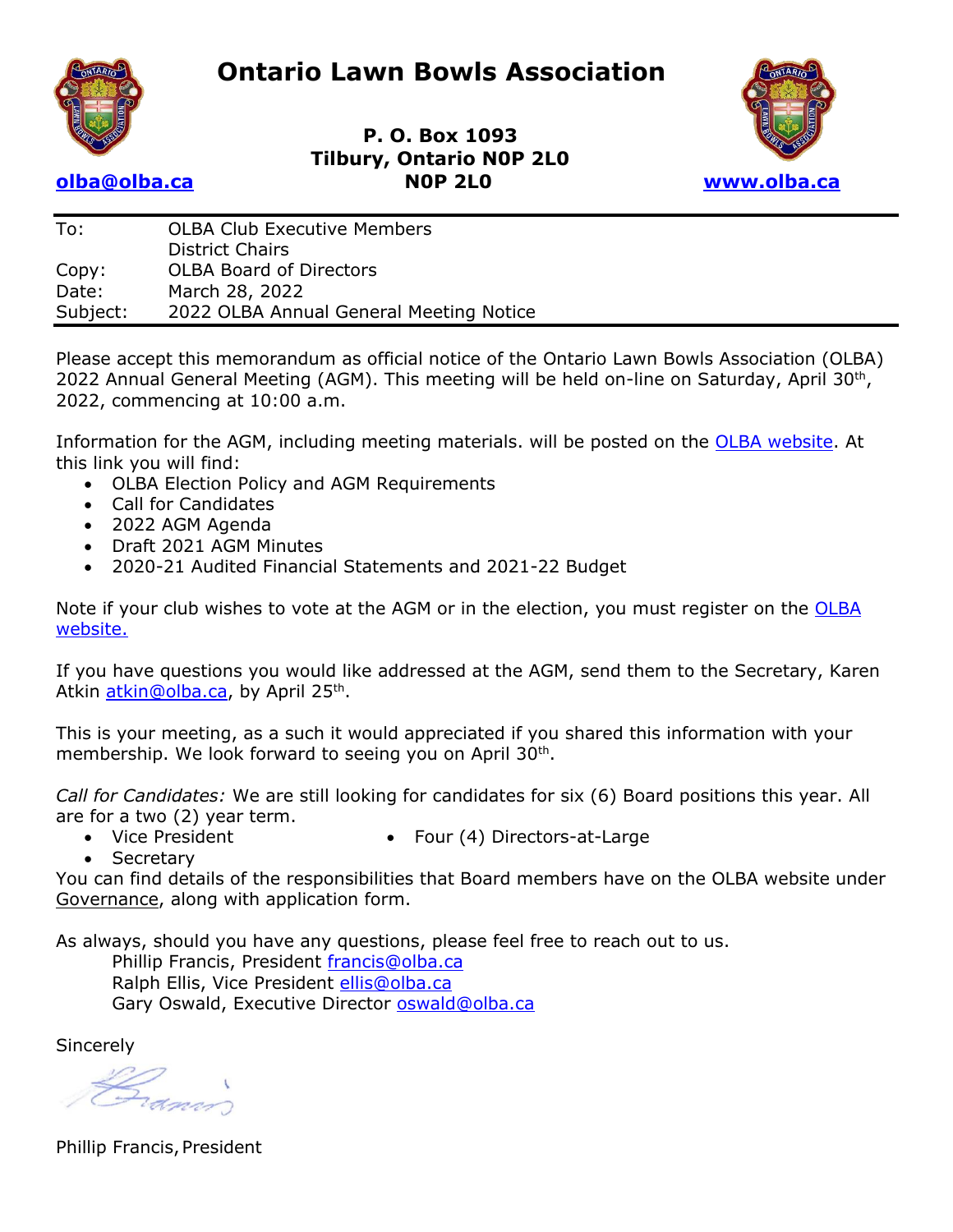

**P. O. Box 1093 Tilbury, Ontario N0P 2L0 [olba@olba.ca](about:blank) N0P 2L0 [www.olba.ca](about:blank)** 



| To:      | <b>OLBA Club Executive Members</b>      |
|----------|-----------------------------------------|
|          | <b>District Chairs</b>                  |
| Copy:    | <b>OLBA Board of Directors</b>          |
| Date:    | March 28, 2022                          |
| Subject: | 2022 OLBA Annual General Meeting Notice |

Please accept this memorandum as official notice of the Ontario Lawn Bowls Association (OLBA) 2022 Annual General Meeting (AGM). This meeting will be held on-line on Saturday, April 30<sup>th</sup>, 2022, commencing at 10:00 a.m.

Information for the AGM, including meeting materials. will be posted on the [OLBA website.](https://www.olba.ca/annual-general-meeting.html) At this link you will find:

- OLBA Election Policy and AGM Requirements
- Call for Candidates
- 2022 AGM Agenda
- Draft 2021 AGM Minutes
- 2020-21 Audited Financial Statements and 2021-22 Budget

Note if your club wishes to vote at the AGM or in the election, you must register on the OLBA [website.](https://www.olba.ca/annual-general-meeting.html)

If you have questions you would like addressed at the AGM, send them to the Secretary, Karen Atkin <u>atkin@olba.ca</u>, by April 25<sup>th</sup>.

This is your meeting, as a such it would appreciated if you shared this information with your membership. We look forward to seeing you on April 30<sup>th</sup>.

*Call for Candidates:* We are still looking for candidates for six (6) Board positions this year. All are for a two (2) year term.

• Vice President

• Four (4) Directors-at-Large

• Secretary

You can find details of the responsibilities that Board members have on the OLBA website under [Governance,](https://www.olba.ca/directors.html) along with application form.

As always, should you have any questions, please feel free to reach out to us.

Phillip Francis, President [francis@olba.ca](mailto:francis@olba.ca) Ralph Ellis, Vice President [ellis@olba.ca](mailto:ellis@olba.ca) Gary Oswald, Executive Director [oswald@olba.ca](mailto:oswald@olba.ca)

**Sincerely** 

Francos

Phillip Francis, President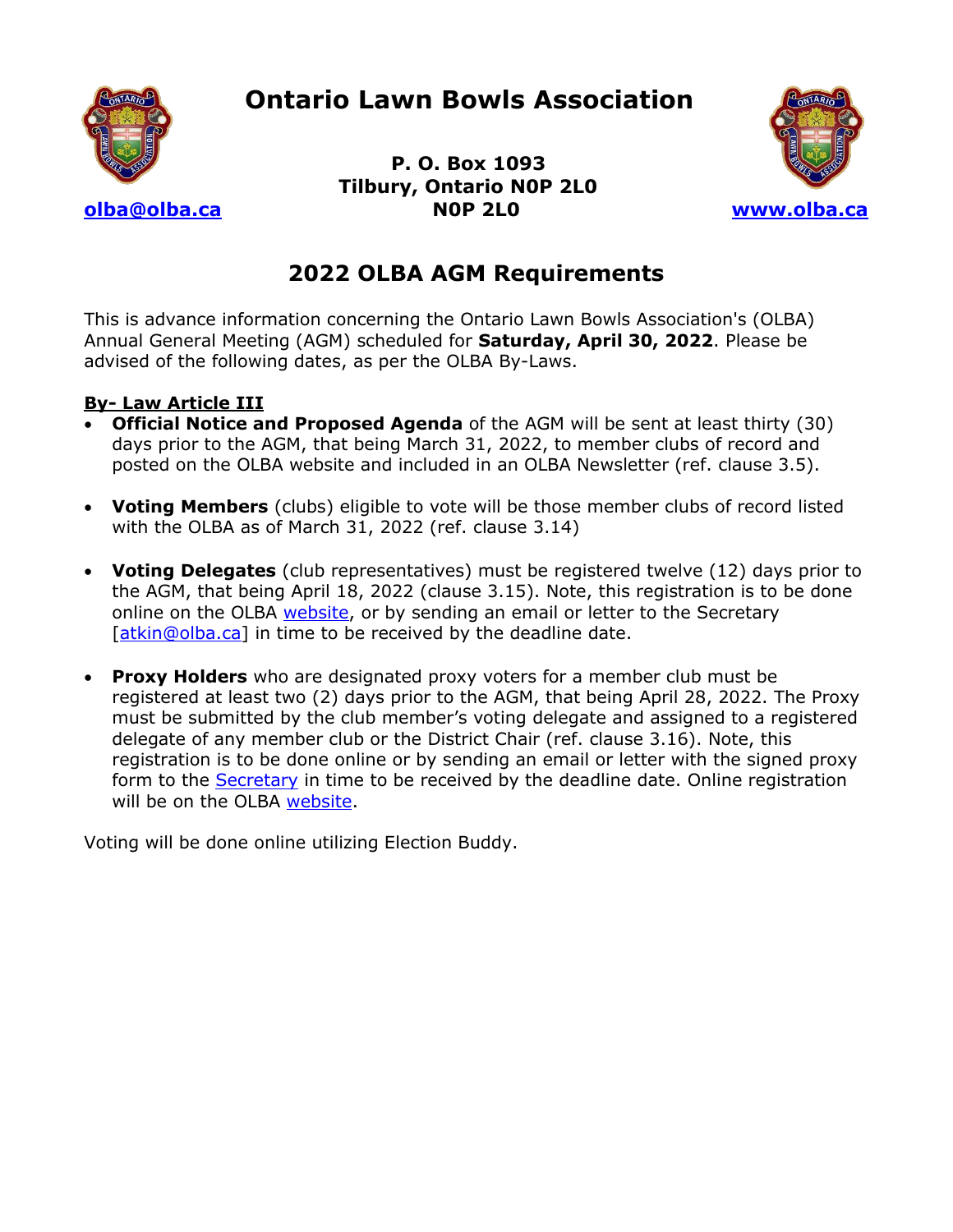

**P. O. Box 1093 Tilbury, Ontario N0P 2L0 [olba@olba.ca](about:blank) N0P 2L0 [www.olba.ca](about:blank)** 



### **2022 OLBA AGM Requirements**

This is advance information concerning the Ontario Lawn Bowls Association's (OLBA) Annual General Meeting (AGM) scheduled for **Saturday, April 30, 2022**. Please be advised of the following dates, as per the OLBA By-Laws.

#### **By- Law Article III**

- **Official Notice and Proposed Agenda** of the AGM will be sent at least thirty (30) days prior to the AGM, that being March 31, 2022, to member clubs of record and posted on the OLBA website and included in an OLBA Newsletter (ref. clause 3.5).
- **Voting Members** (clubs) eligible to vote will be those member clubs of record listed with the OLBA as of March 31, 2022 (ref. clause 3.14)
- **Voting Delegates** (club representatives) must be registered twelve (12) days prior to the AGM, that being April 18, 2022 (clause 3.15). Note, this registration is to be done online on the OLBA [website,](https://www.olba.ca/annual-general-meeting.html) or by sending an email or letter to the Secretary [\[atkin@olba.ca\]](mailto:atkin@olba.ca) in time to be received by the deadline date.
- **Proxy Holders** who are designated proxy voters for a member club must be registered at least two (2) days prior to the AGM, that being April 28, 2022. The Proxy must be submitted by the club member's voting delegate and assigned to a registered delegate of any member club or the District Chair (ref. clause 3.16). Note, this registration is to be done online or by sending an email or letter with the signed proxy form to the [Secretary](mailto:atkin@olba.ca) in time to be received by the deadline date. Online registration will be on the OLBA [website.](https://www.olba.ca/annual-general-meeting.html)

Voting will be done online utilizing Election Buddy.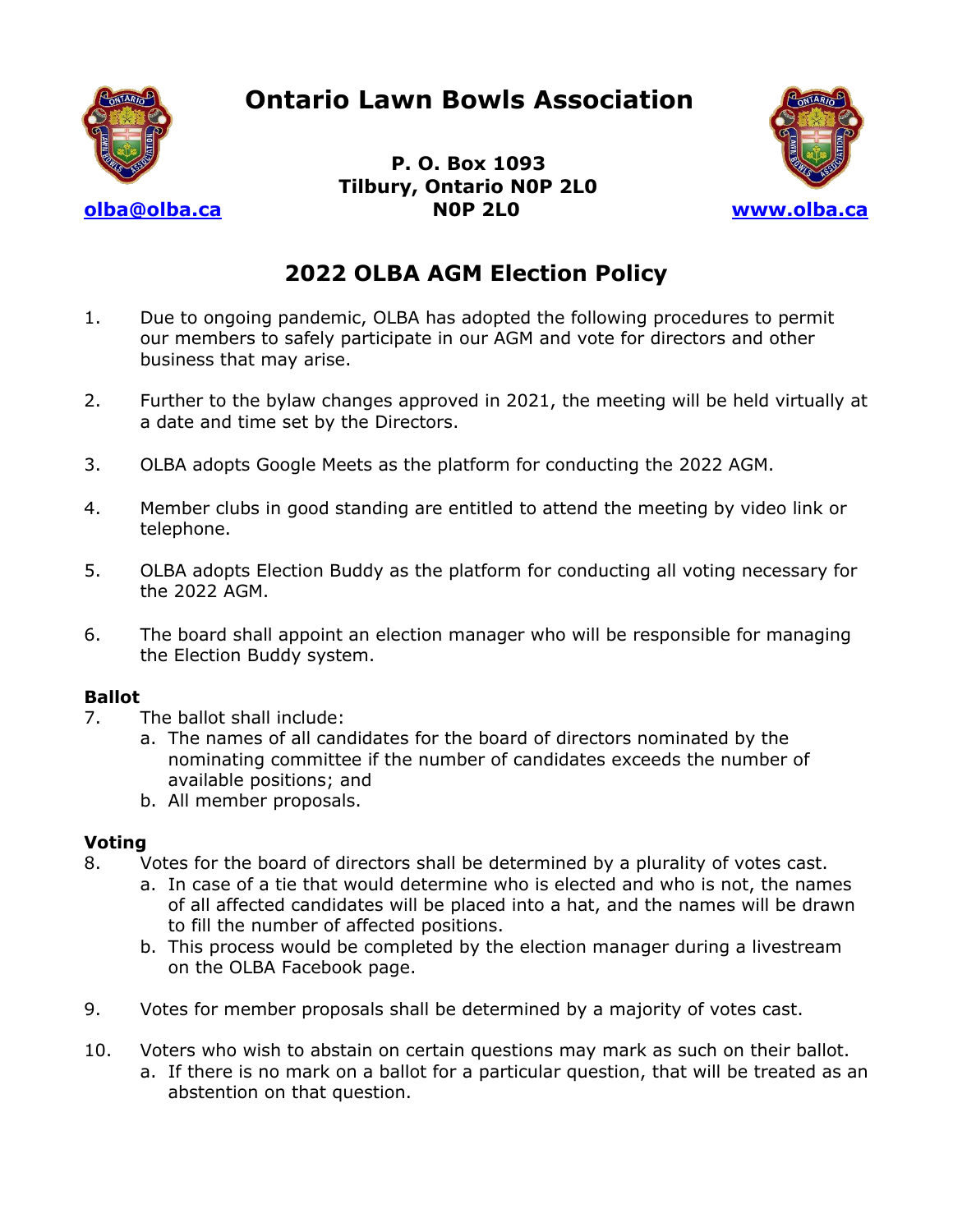

**P. O. Box 1093 Tilbury, Ontario N0P 2L0 [olba@olba.ca](about:blank) N0P 2L0 [www.olba.ca](about:blank)** 



### **2022 OLBA AGM Election Policy**

- 1. Due to ongoing pandemic, OLBA has adopted the following procedures to permit our members to safely participate in our AGM and vote for directors and other business that may arise.
- 2. Further to the bylaw changes approved in 2021, the meeting will be held virtually at a date and time set by the Directors.
- 3. OLBA adopts Google Meets as the platform for conducting the 2022 AGM.
- 4. Member clubs in good standing are entitled to attend the meeting by video link or telephone.
- 5. OLBA adopts Election Buddy as the platform for conducting all voting necessary for the 2022 AGM.
- 6. The board shall appoint an election manager who will be responsible for managing the Election Buddy system.

#### **Ballot**

- 7. The ballot shall include:
	- a. The names of all candidates for the board of directors nominated by the nominating committee if the number of candidates exceeds the number of available positions; and
	- b. All member proposals.

#### **Voting**

- 8. Votes for the board of directors shall be determined by a plurality of votes cast.
	- a. In case of a tie that would determine who is elected and who is not, the names of all affected candidates will be placed into a hat, and the names will be drawn to fill the number of affected positions.
	- b. This process would be completed by the election manager during a livestream on the OLBA Facebook page.
- 9. Votes for member proposals shall be determined by a majority of votes cast.
- 10. Voters who wish to abstain on certain questions may mark as such on their ballot.
	- a. If there is no mark on a ballot for a particular question, that will be treated as an abstention on that question.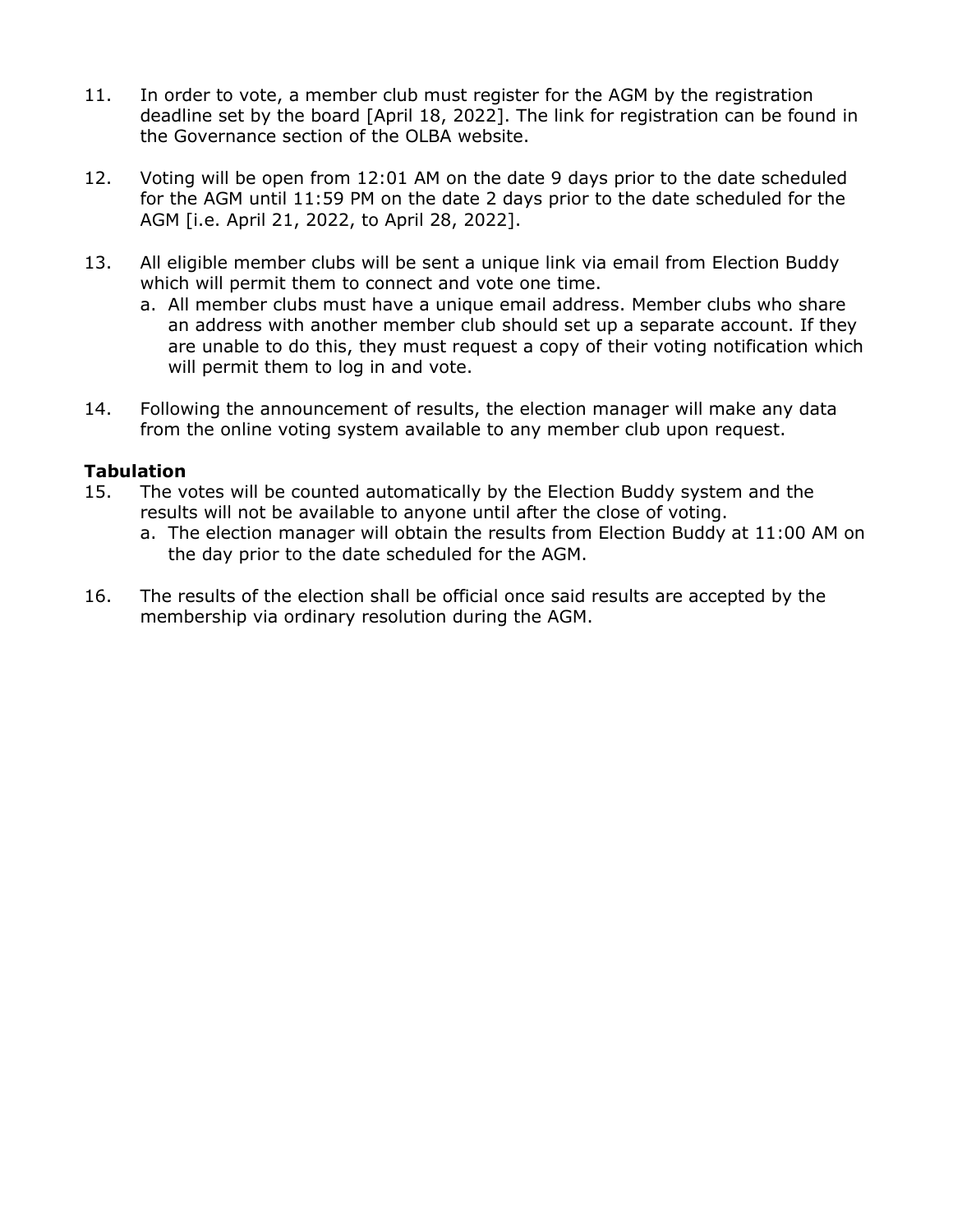- 11. In order to vote, a member club must register for the AGM by the registration deadline set by the board [April 18, 2022]. The link for registration can be found in the Governance section of the OLBA website.
- 12. Voting will be open from 12:01 AM on the date 9 days prior to the date scheduled for the AGM until 11:59 PM on the date 2 days prior to the date scheduled for the AGM [i.e. April 21, 2022, to April 28, 2022].
- 13. All eligible member clubs will be sent a unique link via email from Election Buddy which will permit them to connect and vote one time.
	- a. All member clubs must have a unique email address. Member clubs who share an address with another member club should set up a separate account. If they are unable to do this, they must request a copy of their voting notification which will permit them to log in and vote.
- 14. Following the announcement of results, the election manager will make any data from the online voting system available to any member club upon request.

#### **Tabulation**

- 15. The votes will be counted automatically by the Election Buddy system and the results will not be available to anyone until after the close of voting.
	- a. The election manager will obtain the results from Election Buddy at 11:00 AM on the day prior to the date scheduled for the AGM.
- 16. The results of the election shall be official once said results are accepted by the membership via ordinary resolution during the AGM.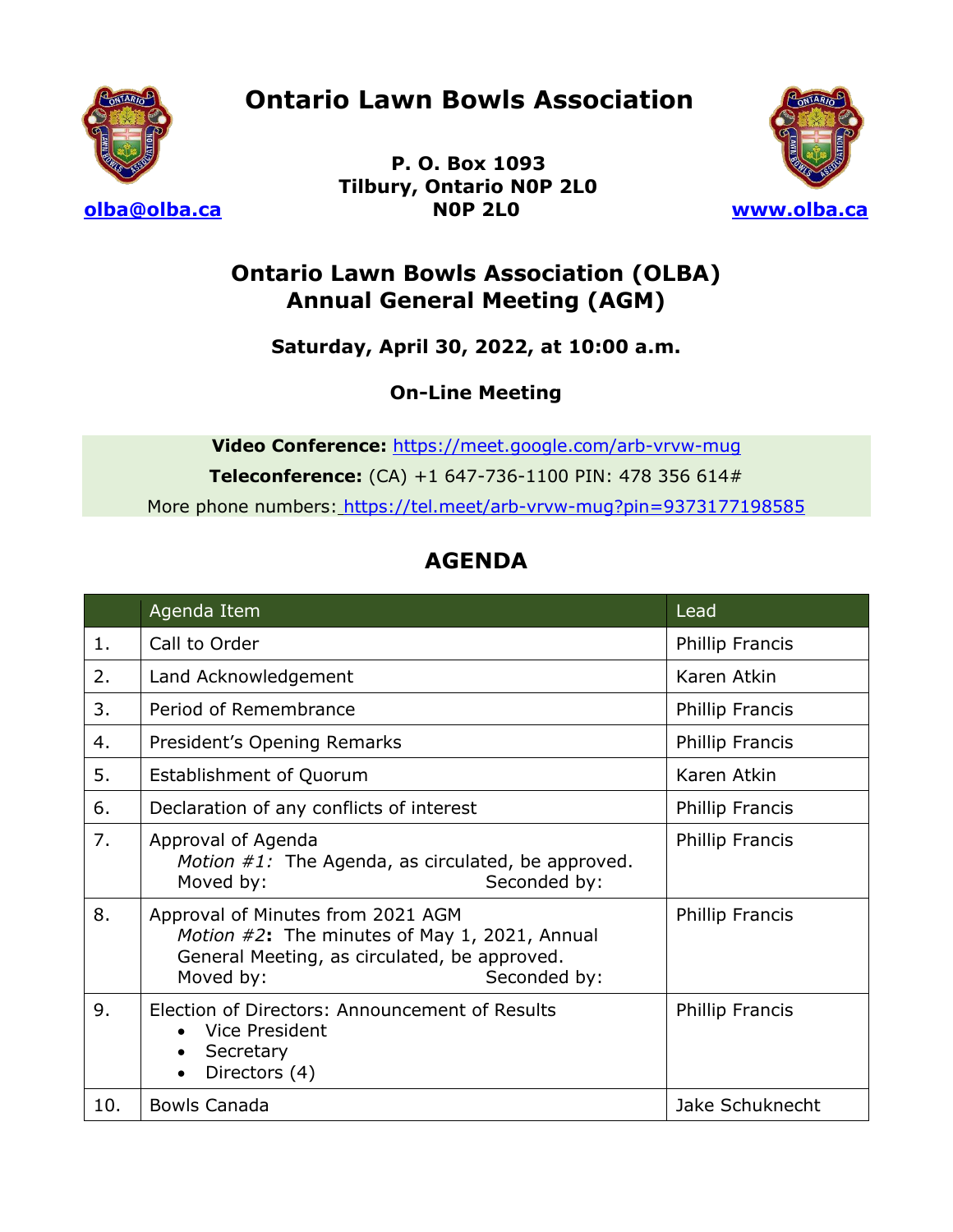

**P. O. Box 1093 Tilbury, Ontario N0P 2L0 [olba@olba.ca](about:blank) N0P 2L0 [www.olba.ca](about:blank)** 



### **Ontario Lawn Bowls Association (OLBA) Annual General Meeting (AGM)**

### **Saturday, April 30, 2022, at 10:00 a.m.**

**On-Line Meeting**

**Video Conference:** https://meet.google.com/arb-vrvw-mug **Teleconference:** (CA) +1 647-736-1100 PIN: 478 356 614# More phone numbers: https://tel.meet/arb-vrvw-mug?pin=9373177198585

### **AGENDA**

|     | Agenda Item                                                                                                                                                                         | Lead                   |  |
|-----|-------------------------------------------------------------------------------------------------------------------------------------------------------------------------------------|------------------------|--|
| 1.  | Call to Order                                                                                                                                                                       | <b>Phillip Francis</b> |  |
| 2.  | Land Acknowledgement                                                                                                                                                                | Karen Atkin            |  |
| 3.  | Period of Remembrance                                                                                                                                                               | <b>Phillip Francis</b> |  |
| 4.  | President's Opening Remarks                                                                                                                                                         | <b>Phillip Francis</b> |  |
| 5.  | <b>Establishment of Quorum</b>                                                                                                                                                      | Karen Atkin            |  |
| 6.  | Declaration of any conflicts of interest                                                                                                                                            | <b>Phillip Francis</b> |  |
| 7.  | Approval of Agenda<br><i>Motion <math>#1</math>:</i> The Agenda, as circulated, be approved.<br>Moved by:<br>Seconded by:                                                           | <b>Phillip Francis</b> |  |
| 8.  | Approval of Minutes from 2021 AGM<br><i>Motion <math>#2</math>:</i> The minutes of May 1, 2021, Annual<br>General Meeting, as circulated, be approved.<br>Moved by:<br>Seconded by: | <b>Phillip Francis</b> |  |
| 9.  | Election of Directors: Announcement of Results<br>Vice President<br>Secretary<br>Directors (4)                                                                                      | <b>Phillip Francis</b> |  |
| 10. | <b>Bowls Canada</b>                                                                                                                                                                 | Jake Schuknecht        |  |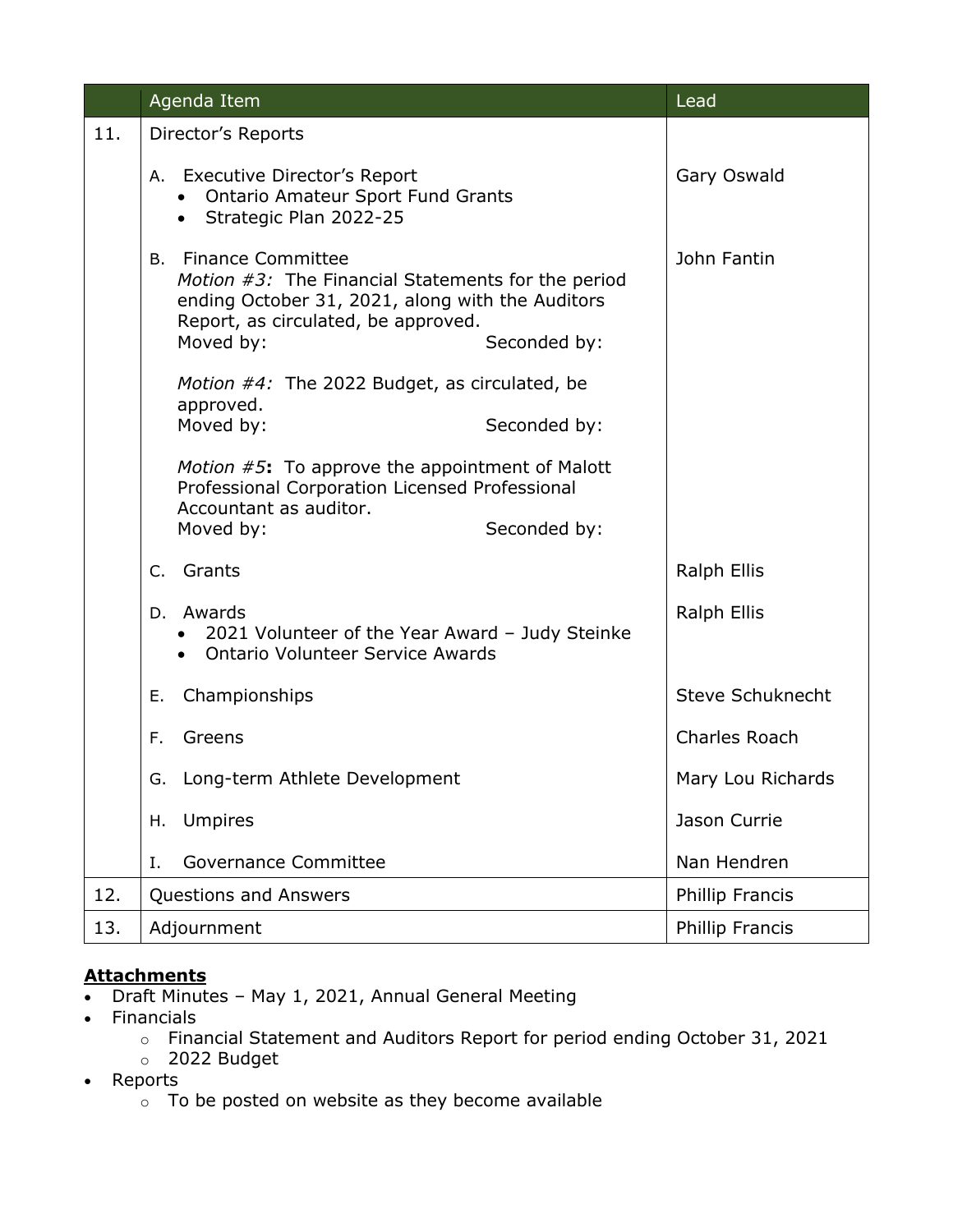|     | Agenda Item                                                                                                                                                                                                     | $L$ ead                |  |  |
|-----|-----------------------------------------------------------------------------------------------------------------------------------------------------------------------------------------------------------------|------------------------|--|--|
| 11. | Director's Reports                                                                                                                                                                                              |                        |  |  |
|     | A. Executive Director's Report<br>• Ontario Amateur Sport Fund Grants<br>• Strategic Plan 2022-25                                                                                                               | Gary Oswald            |  |  |
|     | <b>Finance Committee</b><br>В.<br>Motion $#3$ : The Financial Statements for the period<br>ending October 31, 2021, along with the Auditors<br>Report, as circulated, be approved.<br>Moved by:<br>Seconded by: | John Fantin            |  |  |
|     | <i>Motion #4:</i> The 2022 Budget, as circulated, be<br>approved.                                                                                                                                               |                        |  |  |
|     | Moved by:<br>Seconded by:                                                                                                                                                                                       |                        |  |  |
|     | <i>Motion <math>#5</math>:</i> To approve the appointment of Malott<br>Professional Corporation Licensed Professional<br>Accountant as auditor.<br>Moved by:<br>Seconded by:                                    |                        |  |  |
|     | Grants<br>C.                                                                                                                                                                                                    | Ralph Ellis            |  |  |
|     | D. Awards<br>• 2021 Volunteer of the Year Award - Judy Steinke<br>• Ontario Volunteer Service Awards                                                                                                            | Ralph Ellis            |  |  |
|     | Championships<br>Е.                                                                                                                                                                                             | Steve Schuknecht       |  |  |
|     | Greens<br>F.                                                                                                                                                                                                    | <b>Charles Roach</b>   |  |  |
|     | G. Long-term Athlete Development                                                                                                                                                                                | Mary Lou Richards      |  |  |
|     | <b>Umpires</b><br>Н.                                                                                                                                                                                            | Jason Currie           |  |  |
|     | Governance Committee<br>Ι.                                                                                                                                                                                      | Nan Hendren            |  |  |
| 12. | Questions and Answers                                                                                                                                                                                           | <b>Phillip Francis</b> |  |  |
| 13. | Adjournment                                                                                                                                                                                                     | <b>Phillip Francis</b> |  |  |

#### **Attachments**

- Draft Minutes May 1, 2021, Annual General Meeting
- **Financials** 
	- o Financial Statement and Auditors Report for period ending October 31, 2021
	- o 2022 Budget
- Reports
	- $\overline{\circ}$  To be posted on website as they become available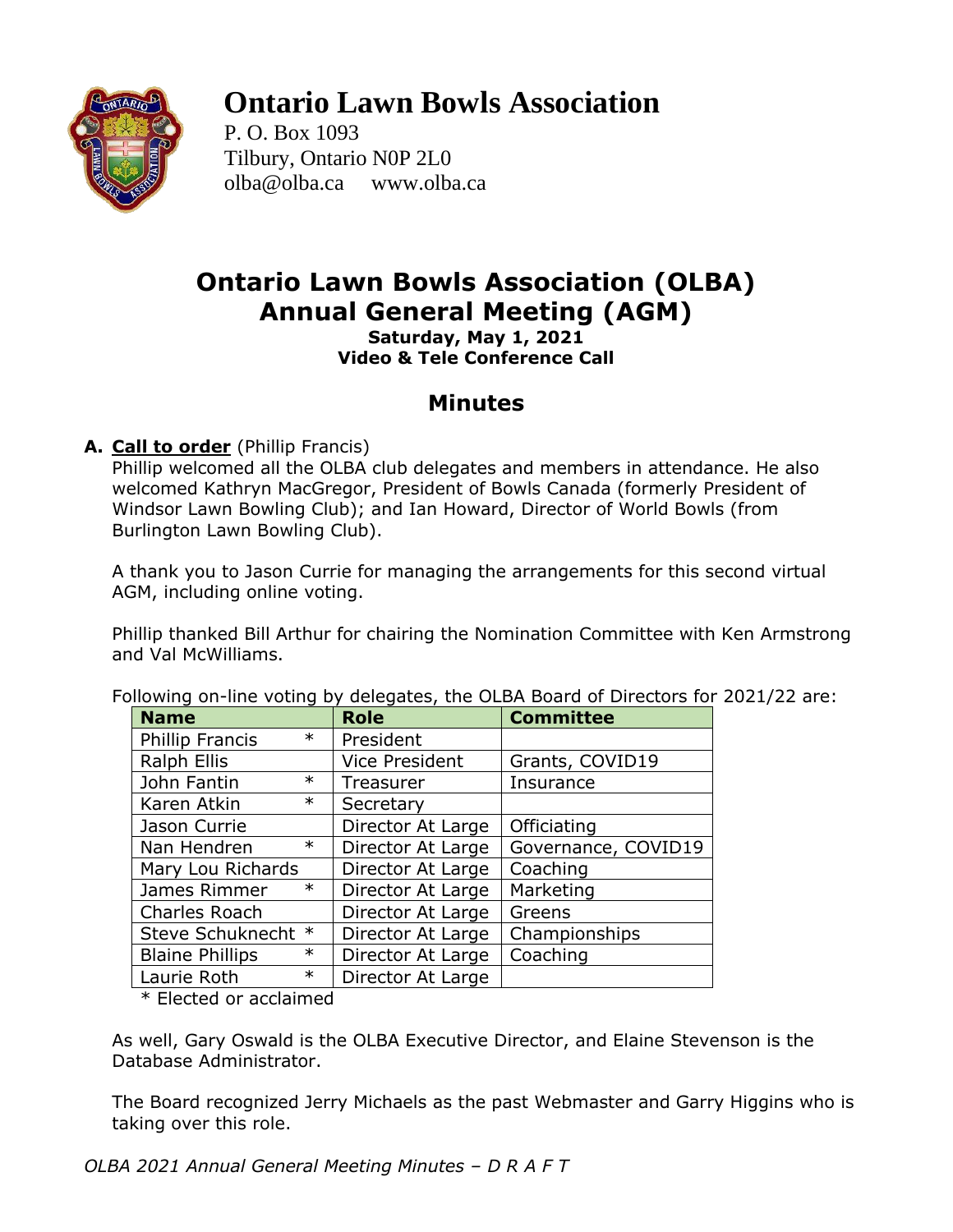

P. O. Box 1093 Tilbury, Ontario N0P 2L0 [olba@olba.ca](mailto:olba@olba.ca) [www.olba.ca](about:blank)

## **Ontario Lawn Bowls Association (OLBA) Annual General Meeting (AGM)**

**Saturday, May 1, 2021 Video & Tele Conference Call**

### **Minutes**

### **A. Call to order** (Phillip Francis)

Phillip welcomed all the OLBA club delegates and members in attendance. He also welcomed Kathryn MacGregor, President of Bowls Canada (formerly President of Windsor Lawn Bowling Club); and Ian Howard, Director of World Bowls (from Burlington Lawn Bowling Club).

A thank you to Jason Currie for managing the arrangements for this second virtual AGM, including online voting.

Phillip thanked Bill Arthur for chairing the Nomination Committee with Ken Armstrong and Val McWilliams.

| <b>Name</b>                      |  | <b>Role</b>           | <b>Committee</b>    |  |  |  |  |
|----------------------------------|--|-----------------------|---------------------|--|--|--|--|
| $\ast$<br><b>Phillip Francis</b> |  | President             |                     |  |  |  |  |
| Ralph Ellis                      |  | <b>Vice President</b> | Grants, COVID19     |  |  |  |  |
| $\ast$<br>John Fantin            |  | Treasurer             | Insurance           |  |  |  |  |
| $\ast$<br>Karen Atkin            |  | Secretary             |                     |  |  |  |  |
| Jason Currie                     |  | Director At Large     | Officiating         |  |  |  |  |
| $\ast$<br>Nan Hendren            |  | Director At Large     | Governance, COVID19 |  |  |  |  |
| Mary Lou Richards                |  | Director At Large     | Coaching            |  |  |  |  |
| $\ast$<br>James Rimmer           |  | Director At Large     | Marketing           |  |  |  |  |
| Charles Roach                    |  | Director At Large     | Greens              |  |  |  |  |
| Steve Schuknecht *               |  | Director At Large     | Championships       |  |  |  |  |
| $\ast$<br><b>Blaine Phillips</b> |  | Director At Large     | Coaching            |  |  |  |  |
| $\ast$<br>Laurie Roth            |  | Director At Large     |                     |  |  |  |  |

Following on-line voting by delegates, the OLBA Board of Directors for 2021/22 are:

\* Elected or acclaimed

As well, Gary Oswald is the OLBA Executive Director, and Elaine Stevenson is the Database Administrator.

The Board recognized Jerry Michaels as the past Webmaster and Garry Higgins who is taking over this role.

*OLBA 2021 Annual General Meeting Minutes – D R A F T*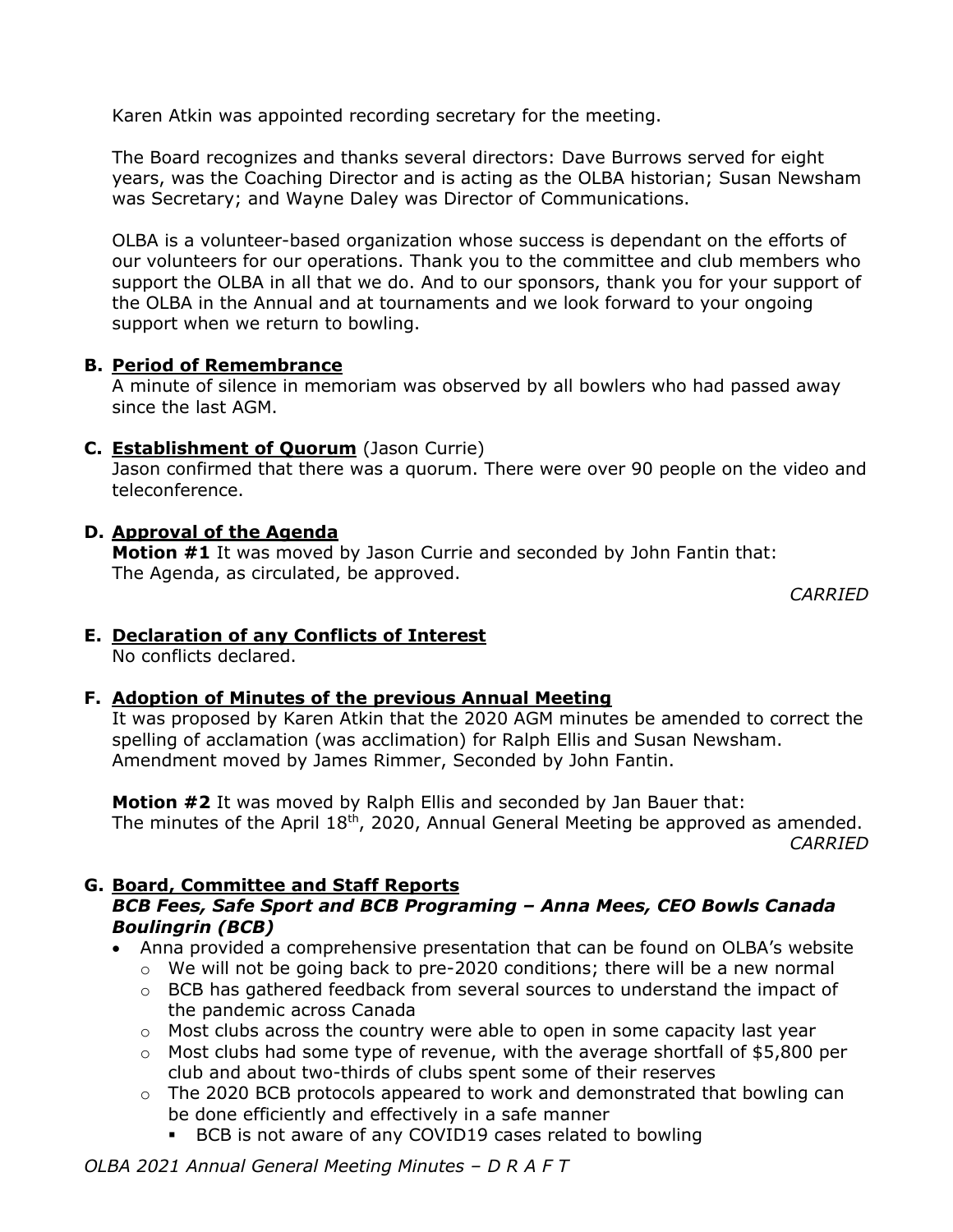Karen Atkin was appointed recording secretary for the meeting.

The Board recognizes and thanks several directors: Dave Burrows served for eight years, was the Coaching Director and is acting as the OLBA historian; Susan Newsham was Secretary; and Wayne Daley was Director of Communications.

OLBA is a volunteer-based organization whose success is dependant on the efforts of our volunteers for our operations. Thank you to the committee and club members who support the OLBA in all that we do. And to our sponsors, thank you for your support of the OLBA in the Annual and at tournaments and we look forward to your ongoing support when we return to bowling.

#### **B. Period of Remembrance**

A minute of silence in memoriam was observed by all bowlers who had passed away since the last AGM.

#### **C. Establishment of Quorum** (Jason Currie)

Jason confirmed that there was a quorum. There were over 90 people on the video and teleconference.

#### **D. Approval of the Agenda**

**Motion #1** It was moved by Jason Currie and seconded by John Fantin that: The Agenda, as circulated, be approved.

*CARRIED*

#### **E. Declaration of any Conflicts of Interest**

No conflicts declared.

#### **F. Adoption of Minutes of the previous Annual Meeting**

It was proposed by Karen Atkin that the 2020 AGM minutes be amended to correct the spelling of acclamation (was acclimation) for Ralph Ellis and Susan Newsham. Amendment moved by James Rimmer, Seconded by John Fantin.

**Motion #2** It was moved by Ralph Ellis and seconded by Jan Bauer that: The minutes of the April 18<sup>th</sup>, 2020, Annual General Meeting be approved as amended. *CARRIED*

#### **G. Board, Committee and Staff Reports**

#### *BCB Fees, Safe Sport and BCB Programing – Anna Mees, CEO Bowls Canada Boulingrin (BCB)*

- Anna provided a comprehensive presentation that can be found on OLBA's website
	- $\circ$  We will not be going back to pre-2020 conditions; there will be a new normal
	- $\circ$  BCB has gathered feedback from several sources to understand the impact of the pandemic across Canada
	- $\circ$  Most clubs across the country were able to open in some capacity last year
	- o Most clubs had some type of revenue, with the average shortfall of \$5,800 per club and about two-thirds of clubs spent some of their reserves
	- o The 2020 BCB protocols appeared to work and demonstrated that bowling can be done efficiently and effectively in a safe manner
		- BCB is not aware of any COVID19 cases related to bowling

#### *OLBA 2021 Annual General Meeting Minutes – D R A F T*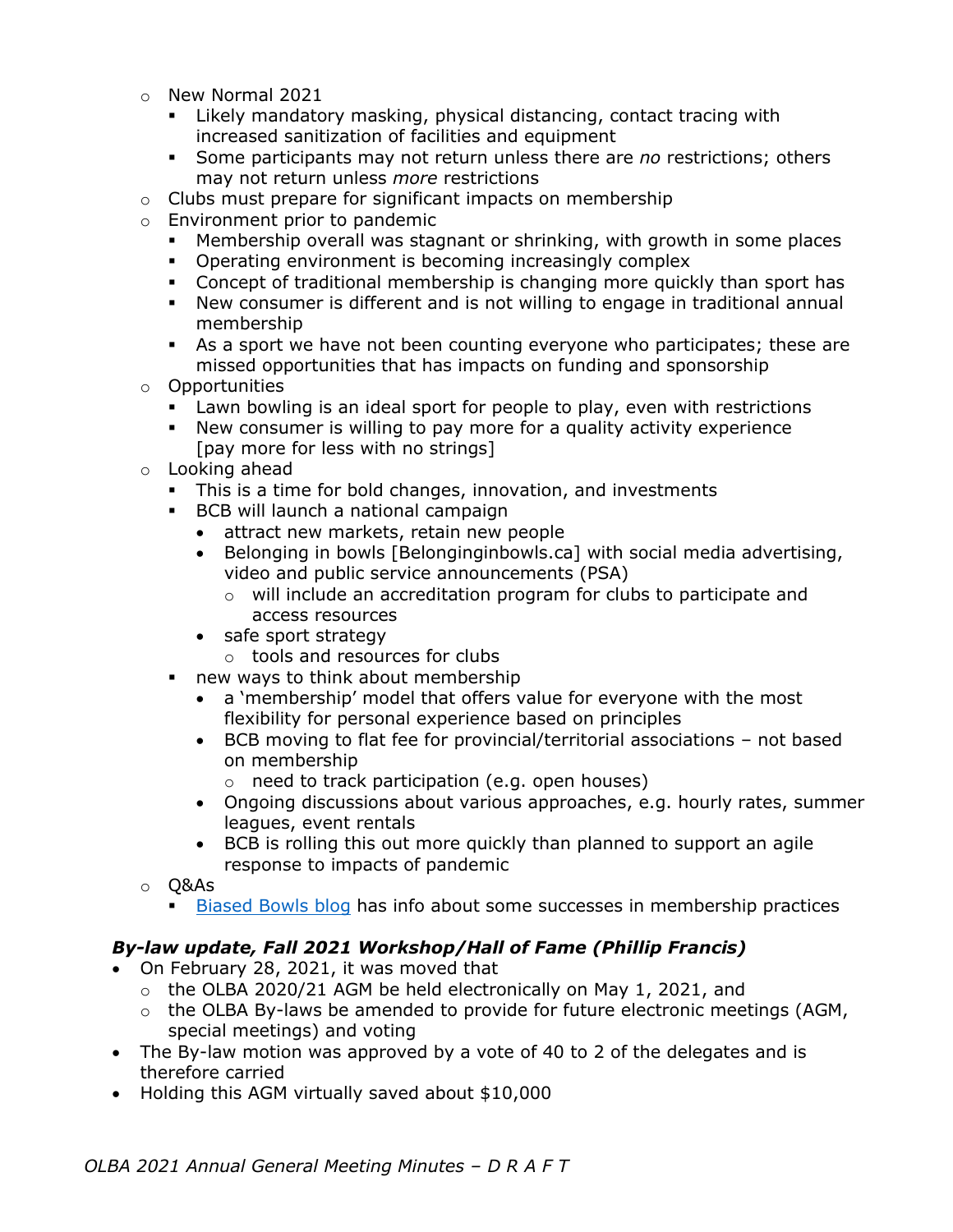- o New Normal 2021
	- **E** Likely mandatory masking, physical distancing, contact tracing with increased sanitization of facilities and equipment
	- Some participants may not return unless there are *no* restrictions; others may not return unless *more* restrictions
- o Clubs must prepare for significant impacts on membership
- o Environment prior to pandemic
	- **EXED Membership overall was stagnant or shrinking, with growth in some places**
	- Operating environment is becoming increasingly complex
	- **•** Concept of traditional membership is changing more quickly than sport has
	- New consumer is different and is not willing to engage in traditional annual membership
	- As a sport we have not been counting everyone who participates; these are missed opportunities that has impacts on funding and sponsorship
- o Opportunities
	- **EXEL 2018** Lawn bowling is an ideal sport for people to play, even with restrictions
	- New consumer is willing to pay more for a quality activity experience [pay more for less with no strings]
- o Looking ahead
	- **·** This is a time for bold changes, innovation, and investments
	- BCB will launch a national campaign
		- attract new markets, retain new people
		- Belonging in bowls [Belonginginbowls.ca] with social media advertising, video and public service announcements (PSA)
			- o will include an accreditation program for clubs to participate and access resources
		- safe sport strategy
			- o tools and resources for clubs
	- new ways to think about membership
		- a 'membership' model that offers value for everyone with the most flexibility for personal experience based on principles
		- BCB moving to flat fee for provincial/territorial associations not based on membership
			- o need to track participation (e.g. open houses)
		- Ongoing discussions about various approaches, e.g. hourly rates, summer leagues, event rentals
		- BCB is rolling this out more quickly than planned to support an agile response to impacts of pandemic
- o Q&As
	- **EXALLE [Biased Bowls blog](https://biasedbowls.ca/) has info about some successes in membership practices**

#### *By-law update, Fall 2021 Workshop/Hall of Fame (Phillip Francis)*

- On February 28, 2021, it was moved that
	- $\circ$  the OLBA 2020/21 AGM be held electronically on May 1, 2021, and
	- o the OLBA By-laws be amended to provide for future electronic meetings (AGM, special meetings) and voting
- The By-law motion was approved by a vote of 40 to 2 of the delegates and is therefore carried
- Holding this AGM virtually saved about \$10,000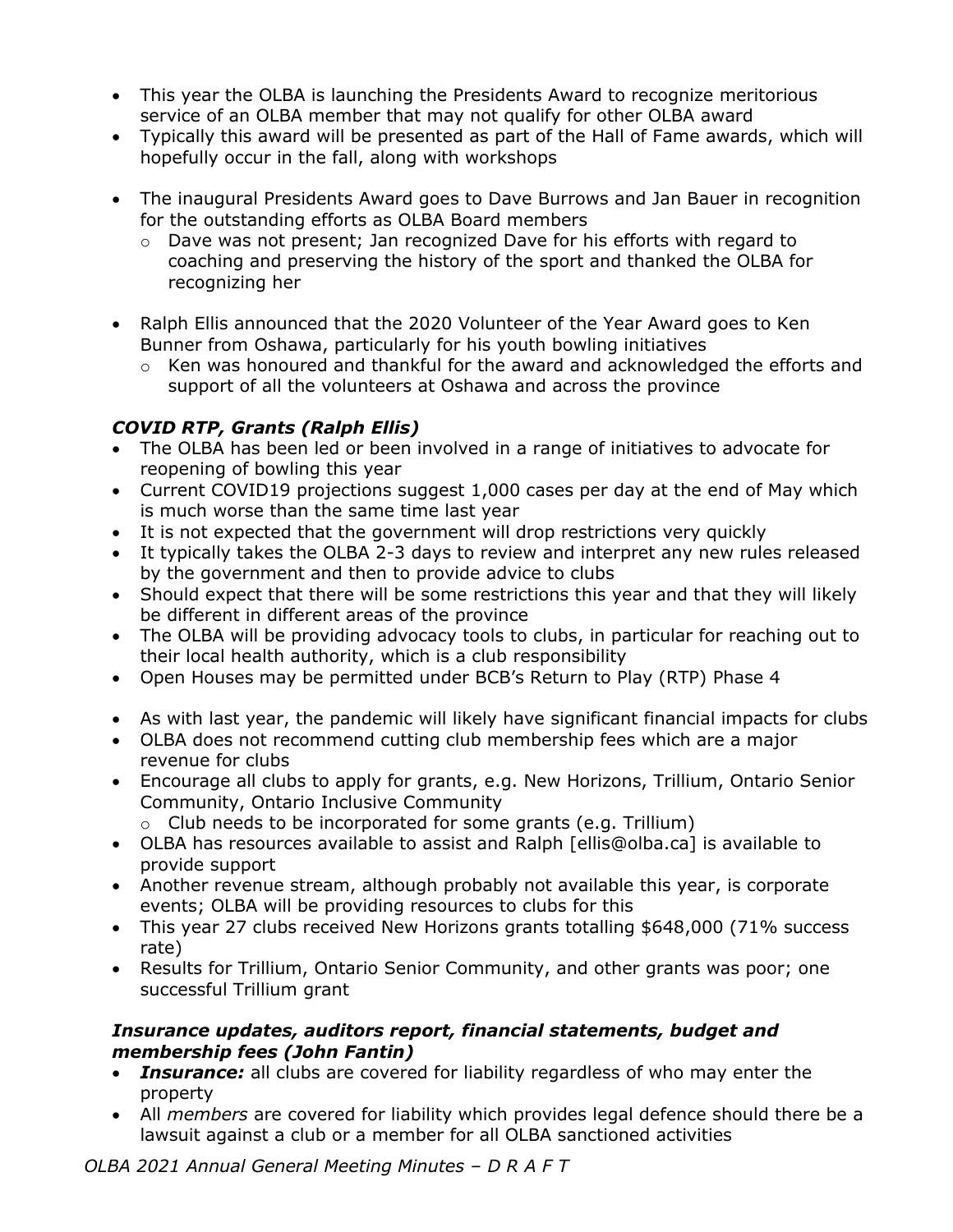- This year the OLBA is launching the Presidents Award to recognize meritorious service of an OLBA member that may not qualify for other OLBA award
- Typically this award will be presented as part of the Hall of Fame awards, which will hopefully occur in the fall, along with workshops
- The inaugural Presidents Award goes to Dave Burrows and Jan Bauer in recognition for the outstanding efforts as OLBA Board members
	- $\circ$  Dave was not present; Jan recognized Dave for his efforts with regard to coaching and preserving the history of the sport and thanked the OLBA for recognizing her
- Ralph Ellis announced that the 2020 Volunteer of the Year Award goes to Ken Bunner from Oshawa, particularly for his youth bowling initiatives
	- $\circ$  Ken was honoured and thankful for the award and acknowledged the efforts and support of all the volunteers at Oshawa and across the province

### *COVID RTP, Grants (Ralph Ellis)*

- The OLBA has been led or been involved in a range of initiatives to advocate for reopening of bowling this year
- Current COVID19 projections suggest 1,000 cases per day at the end of May which is much worse than the same time last year
- It is not expected that the government will drop restrictions very quickly
- It typically takes the OLBA 2-3 days to review and interpret any new rules released by the government and then to provide advice to clubs
- Should expect that there will be some restrictions this year and that they will likely be different in different areas of the province
- The OLBA will be providing advocacy tools to clubs, in particular for reaching out to their local health authority, which is a club responsibility
- Open Houses may be permitted under BCB's Return to Play (RTP) Phase 4
- As with last year, the pandemic will likely have significant financial impacts for clubs
- OLBA does not recommend cutting club membership fees which are a major revenue for clubs
- Encourage all clubs to apply for grants, e.g. New Horizons, Trillium, Ontario Senior Community, Ontario Inclusive Community
	- $\circ$  Club needs to be incorporated for some grants (e.g. Trillium)
- OLBA has resources available to assist and Ralph [ellis@olba.ca] is available to provide support
- Another revenue stream, although probably not available this year, is corporate events; OLBA will be providing resources to clubs for this
- This year 27 clubs received New Horizons grants totalling \$648,000 (71% success rate)
- Results for Trillium, Ontario Senior Community, and other grants was poor; one successful Trillium grant

#### *Insurance updates, auditors report, financial statements, budget and membership fees (John Fantin)*

- *Insurance:* all clubs are covered for liability regardless of who may enter the property
- All *members* are covered for liability which provides legal defence should there be a lawsuit against a club or a member for all OLBA sanctioned activities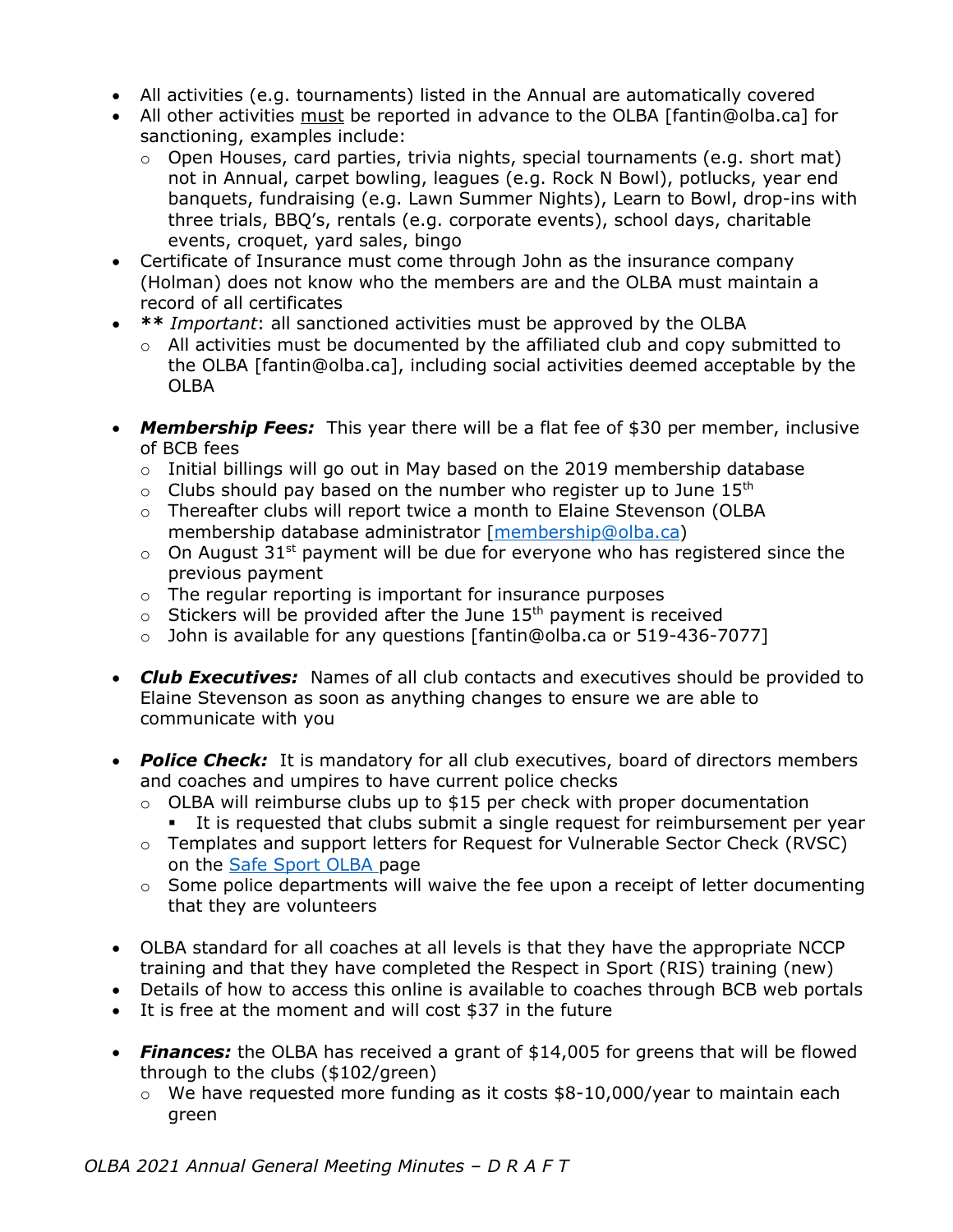- All activities (e.g. tournaments) listed in the Annual are automatically covered
- All other activities must be reported in advance to the OLBA [fantin@olba.ca] for sanctioning, examples include:
	- o Open Houses, card parties, trivia nights, special tournaments (e.g. short mat) not in Annual, carpet bowling, leagues (e.g. Rock N Bowl), potlucks, year end banquets, fundraising (e.g. Lawn Summer Nights), Learn to Bowl, drop-ins with three trials, BBQ's, rentals (e.g. corporate events), school days, charitable events, croquet, yard sales, bingo
- Certificate of Insurance must come through John as the insurance company (Holman) does not know who the members are and the OLBA must maintain a record of all certificates
- **\*\*** *Important*: all sanctioned activities must be approved by the OLBA
	- $\circ$  All activities must be documented by the affiliated club and copy submitted to the OLBA [fantin@olba.ca], including social activities deemed acceptable by the **OLBA**
- **Membership Fees:** This year there will be a flat fee of \$30 per member, inclusive of BCB fees
	- $\circ$  Initial billings will go out in May based on the 2019 membership database
	- $\circ$  Clubs should pay based on the number who register up to June 15<sup>th</sup>
	- $\circ$  Thereafter clubs will report twice a month to Elaine Stevenson (OLBA membership database administrator [\[membership@olba.ca\)](about:blank)
	- $\circ$  On August 31<sup>st</sup> payment will be due for everyone who has registered since the previous payment
	- o The regular reporting is important for insurance purposes
	- $\circ$  Stickers will be provided after the June 15<sup>th</sup> payment is received
	- o John is available for any questions [fantin@olba.ca or 519-436-7077]
- *Club Executives:* Names of all club contacts and executives should be provided to Elaine Stevenson as soon as anything changes to ensure we are able to communicate with you
- **Police Check:** It is mandatory for all club executives, board of directors members and coaches and umpires to have current police checks
	- $\circ$  OLBA will reimburse clubs up to \$15 per check with proper documentation
		- **EXTE:** It is requested that clubs submit a single request for reimbursement per year
	- o Templates and support letters for Request for Vulnerable Sector Check (RVSC) on the [Safe Sport OLBA](about:blank) page
	- $\circ$  Some police departments will waive the fee upon a receipt of letter documenting that they are volunteers
- OLBA standard for all coaches at all levels is that they have the appropriate NCCP training and that they have completed the Respect in Sport (RIS) training (new)
- Details of how to access this online is available to coaches through BCB web portals
- It is free at the moment and will cost \$37 in the future
- *Finances:* the OLBA has received a grant of \$14,005 for greens that will be flowed through to the clubs (\$102/green)
	- $\circ$  We have requested more funding as it costs \$8-10,000/year to maintain each green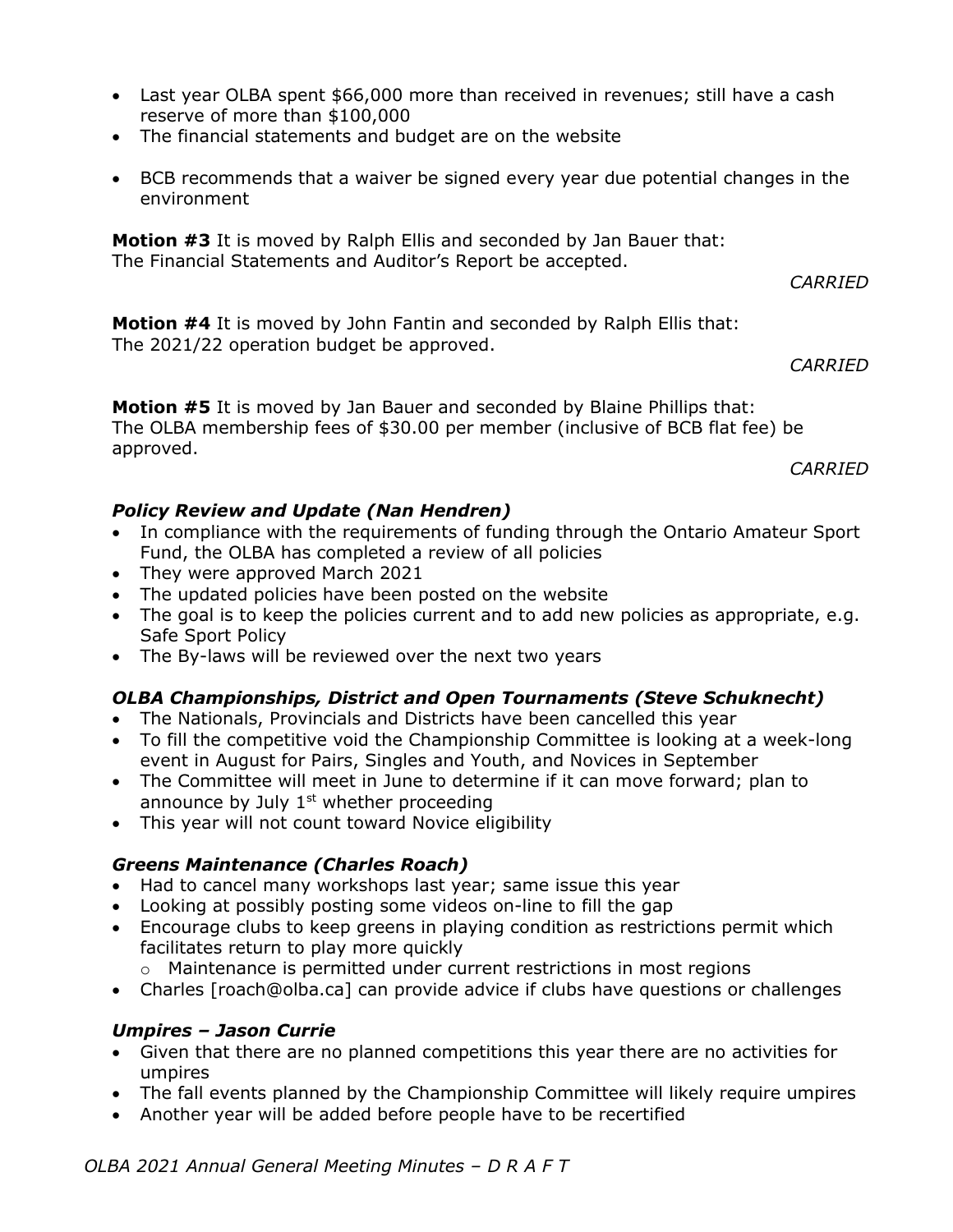*OLBA 2021 Annual General Meeting Minutes – D R A F T*

- Last year OLBA spent \$66,000 more than received in revenues; still have a cash reserve of more than \$100,000
- The financial statements and budget are on the website
- BCB recommends that a waiver be signed every year due potential changes in the environment

**Motion #3** It is moved by Ralph Ellis and seconded by Jan Bauer that: The Financial Statements and Auditor's Report be accepted.

**Motion #4** It is moved by John Fantin and seconded by Ralph Ellis that: The 2021/22 operation budget be approved.

**Motion #5** It is moved by Jan Bauer and seconded by Blaine Phillips that: The OLBA membership fees of \$30.00 per member (inclusive of BCB flat fee) be approved.

*Policy Review and Update (Nan Hendren)*  • In compliance with the requirements of funding through the Ontario Amateur Sport

- Fund, the OLBA has completed a review of all policies
- They were approved March 2021
- The updated policies have been posted on the website
- The goal is to keep the policies current and to add new policies as appropriate, e.g. Safe Sport Policy
- The By-laws will be reviewed over the next two years

#### *OLBA Championships, District and Open Tournaments (Steve Schuknecht)*

- The Nationals, Provincials and Districts have been cancelled this year
- To fill the competitive void the Championship Committee is looking at a week-long event in August for Pairs, Singles and Youth, and Novices in September
- The Committee will meet in June to determine if it can move forward; plan to announce by July  $1<sup>st</sup>$  whether proceeding
- This year will not count toward Novice eligibility

#### *Greens Maintenance (Charles Roach)*

- Had to cancel many workshops last year; same issue this year
- Looking at possibly posting some videos on-line to fill the gap
- Encourage clubs to keep greens in playing condition as restrictions permit which facilitates return to play more quickly
	- o Maintenance is permitted under current restrictions in most regions
- Charles [roach@olba.ca] can provide advice if clubs have questions or challenges

#### *Umpires – Jason Currie*

- Given that there are no planned competitions this year there are no activities for umpires
- The fall events planned by the Championship Committee will likely require umpires
- Another year will be added before people have to be recertified

*CARRIED*

*CARRIED*

*CARRIED*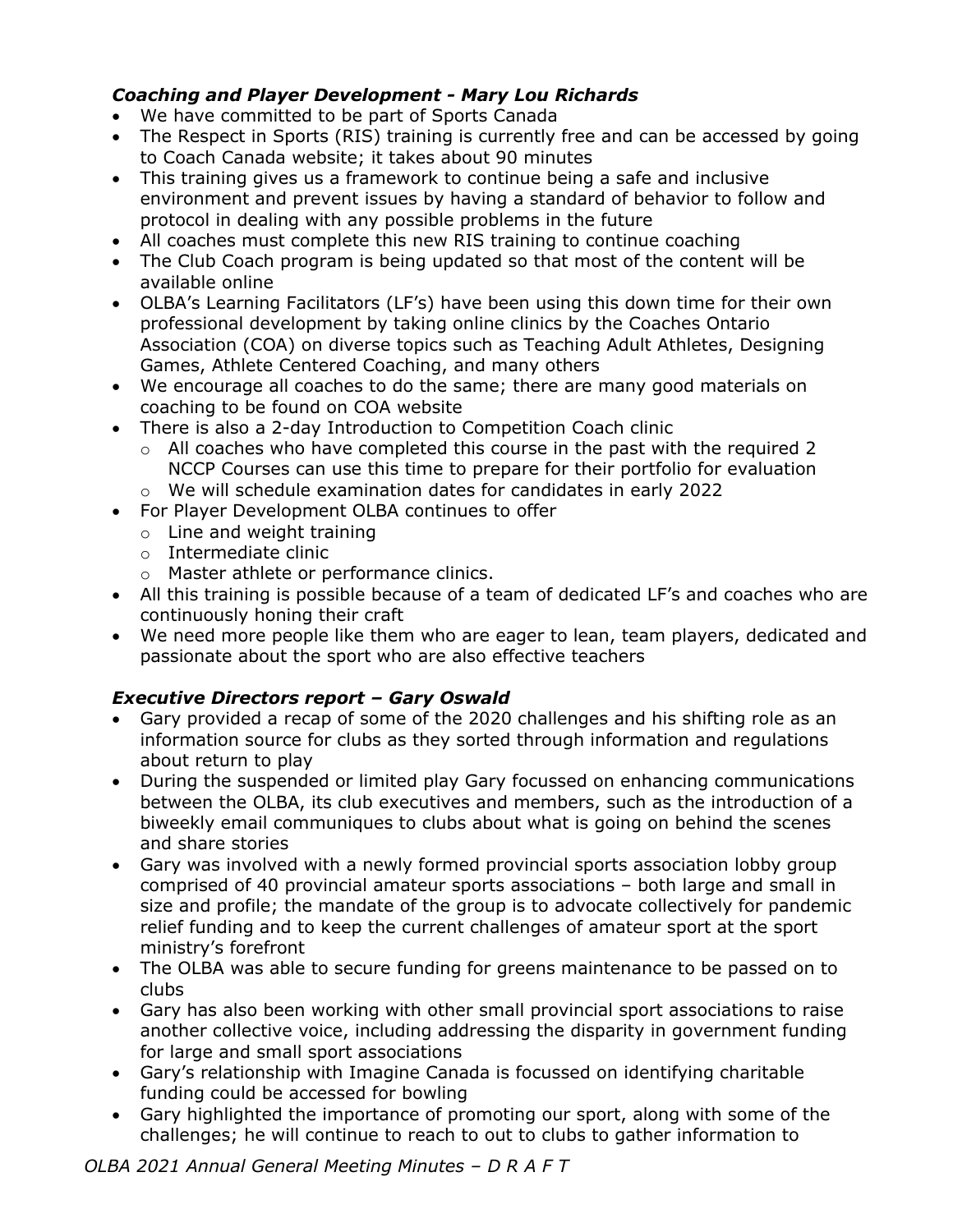#### *Coaching and Player Development - Mary Lou Richards*

- We have committed to be part of Sports Canada
- The Respect in Sports (RIS) training is currently free and can be accessed by going to Coach Canada website; it takes about 90 minutes
- This training gives us a framework to continue being a safe and inclusive environment and prevent issues by having a standard of behavior to follow and protocol in dealing with any possible problems in the future
- All coaches must complete this new RIS training to continue coaching
- The Club Coach program is being updated so that most of the content will be available online
- OLBA's Learning Facilitators (LF's) have been using this down time for their own professional development by taking online clinics by the Coaches Ontario Association (COA) on diverse topics such as Teaching Adult Athletes, Designing Games, Athlete Centered Coaching, and many others
- We encourage all coaches to do the same; there are many good materials on coaching to be found on COA website
- There is also a 2-day Introduction to Competition Coach clinic
	- $\circ$  All coaches who have completed this course in the past with the required 2 NCCP Courses can use this time to prepare for their portfolio for evaluation o We will schedule examination dates for candidates in early 2022
	- For Player Development OLBA continues to offer
	- o Line and weight training
		- o Intermediate clinic
	- o Master athlete or performance clinics.
- All this training is possible because of a team of dedicated LF's and coaches who are continuously honing their craft
- We need more people like them who are eager to lean, team players, dedicated and passionate about the sport who are also effective teachers

#### *Executive Directors report – Gary Oswald*

- Gary provided a recap of some of the 2020 challenges and his shifting role as an information source for clubs as they sorted through information and regulations about return to play
- During the suspended or limited play Gary focussed on enhancing communications between the OLBA, its club executives and members, such as the introduction of a biweekly email communiques to clubs about what is going on behind the scenes and share stories
- Gary was involved with a newly formed provincial sports association lobby group comprised of 40 provincial amateur sports associations – both large and small in size and profile; the mandate of the group is to advocate collectively for pandemic relief funding and to keep the current challenges of amateur sport at the sport ministry's forefront
- The OLBA was able to secure funding for greens maintenance to be passed on to clubs
- Gary has also been working with other small provincial sport associations to raise another collective voice, including addressing the disparity in government funding for large and small sport associations
- Gary's relationship with Imagine Canada is focussed on identifying charitable funding could be accessed for bowling
- Gary highlighted the importance of promoting our sport, along with some of the challenges; he will continue to reach to out to clubs to gather information to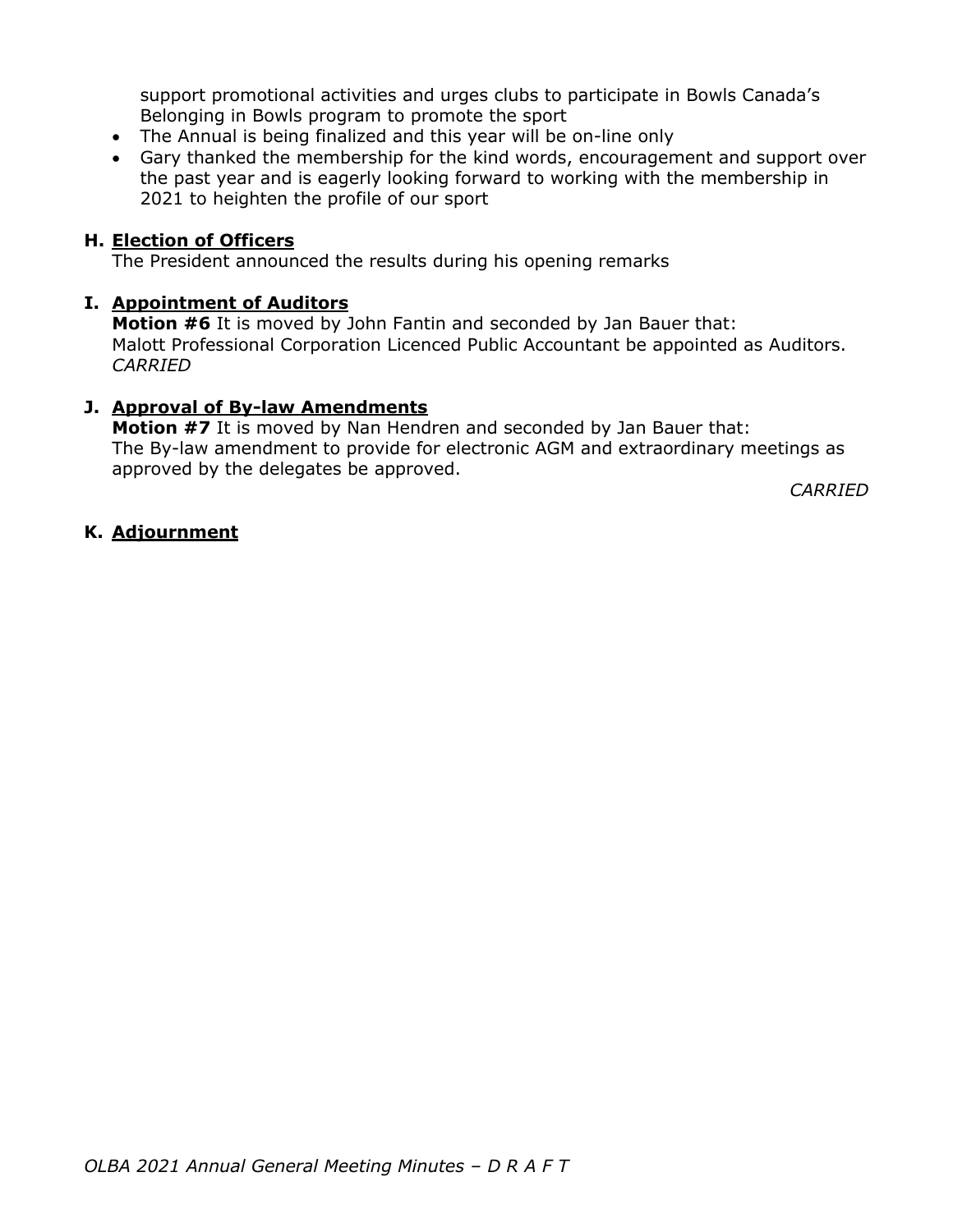support promotional activities and urges clubs to participate in Bowls Canada's Belonging in Bowls program to promote the sport

- The Annual is being finalized and this year will be on-line only
- Gary thanked the membership for the kind words, encouragement and support over the past year and is eagerly looking forward to working with the membership in 2021 to heighten the profile of our sport

#### **H. Election of Officers**

The President announced the results during his opening remarks

#### **I. Appointment of Auditors**

**Motion #6** It is moved by John Fantin and seconded by Jan Bauer that: Malott Professional Corporation Licenced Public Accountant be appointed as Auditors. *CARRIED*

#### **J. Approval of By-law Amendments**

**Motion #7** It is moved by Nan Hendren and seconded by Jan Bauer that: The By-law amendment to provide for electronic AGM and extraordinary meetings as approved by the delegates be approved.

*CARRIED*

#### **K. Adjournment**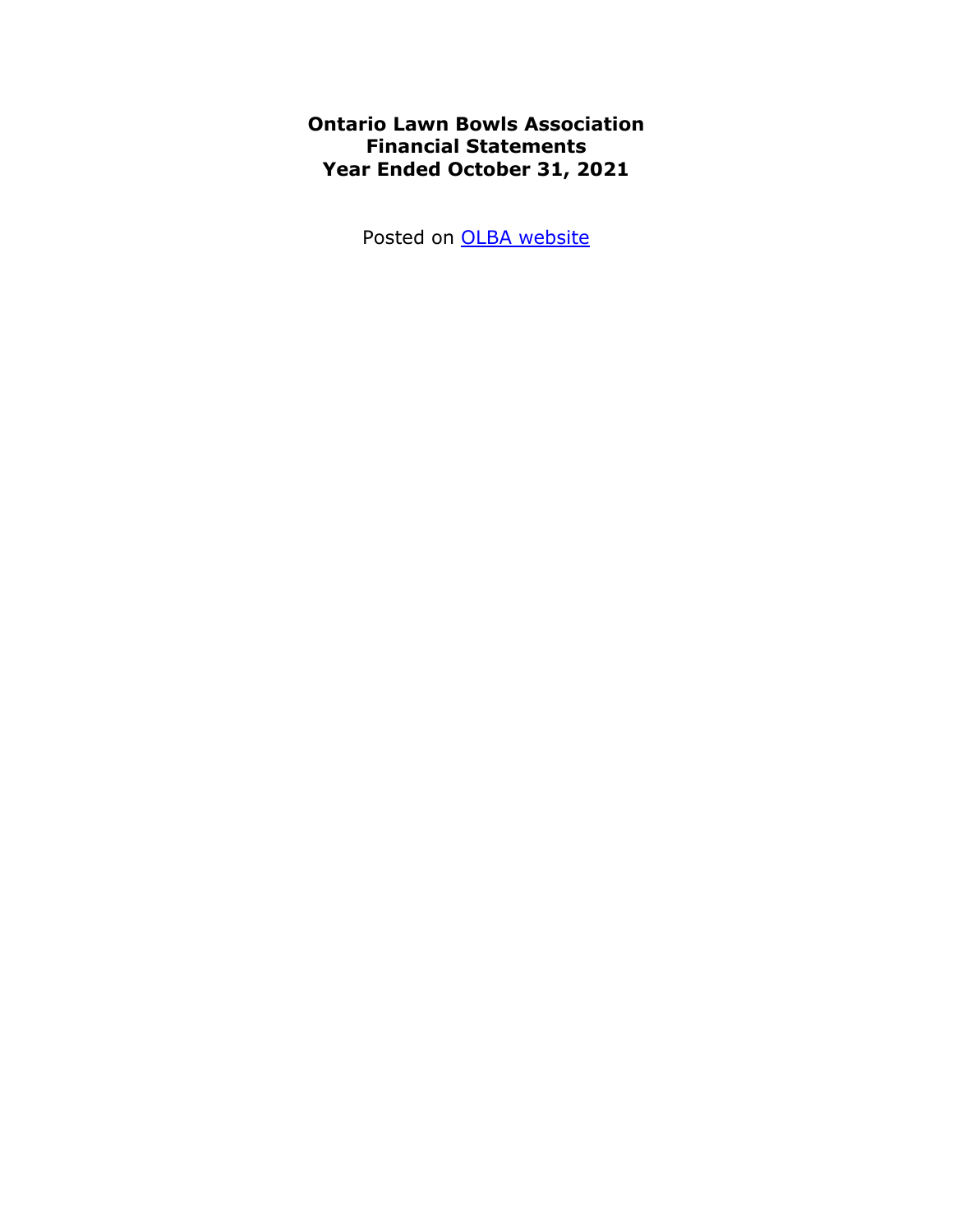**Ontario Lawn Bowls Association Financial Statements Year Ended October 31, 2021**

Posted on [OLBA website](https://www.olba.ca/annual-general-meeting.html)